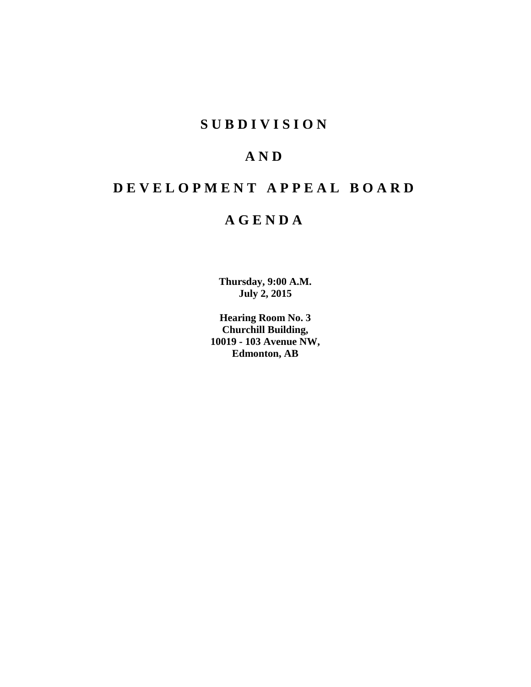# **S U B D I V I S I O N**

# **A N D**

# **D E V E L O P M E N T A P P E A L B O A R D**

# **A G E N D A**

**Thursday, 9:00 A.M. July 2, 2015**

**Hearing Room No. 3 Churchill Building, 10019 - 103 Avenue NW, Edmonton, AB**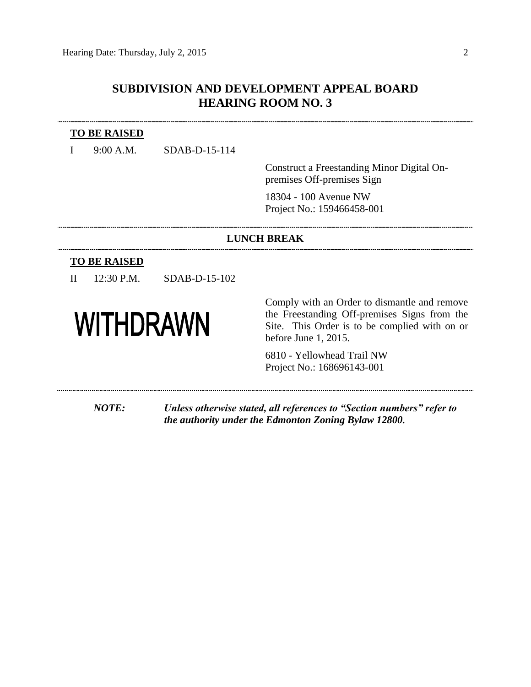### **SUBDIVISION AND DEVELOPMENT APPEAL BOARD HEARING ROOM NO. 3**

#### **TO BE RAISED**

I 9:00 A.M. SDAB-D-15-114

Construct a Freestanding Minor Digital Onpremises Off-premises Sign

18304 - 100 Avenue NW Project No.: 159466458-001

#### **LUNCH BREAK**

#### **TO BE RAISED**

II 12:30 P.M. SDAB-D-15-102

# **WITHDRAWN**

Comply with an Order to dismantle and remove the Freestanding Off-premises Signs from the Site. This Order is to be complied with on or before June 1, 2015.

6810 - Yellowhead Trail NW Project No.: 168696143-001

*NOTE: Unless otherwise stated, all references to "Section numbers" refer to the authority under the Edmonton Zoning Bylaw 12800.*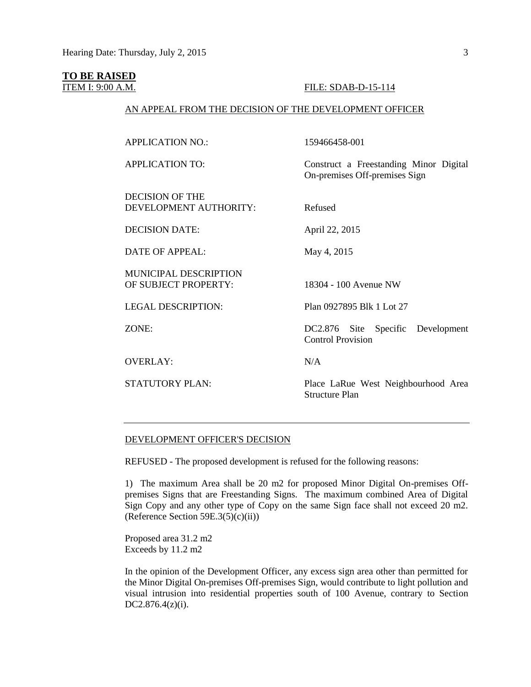#### **TO BE RAISED**

#### ITEM I: 9:00 A.M. FILE: SDAB-D-15-114

#### AN APPEAL FROM THE DECISION OF THE DEVELOPMENT OFFICER

APPLICATION NO.: 159466458-001

APPLICATION TO: Construct a Freestanding Minor Digital

DECISION OF THE DEVELOPMENT AUTHORITY: Refused

DECISION DATE: April 22, 2015

DATE OF APPEAL: May 4, 2015

MUNICIPAL DESCRIPTION OF SUBJECT PROPERTY: 18304 - 100 Avenue NW

OVERLAY: N/A

On-premises Off-premises Sign

LEGAL DESCRIPTION: Plan 0927895 Blk 1 Lot 27

ZONE: DC2.876 Site Specific Development Control Provision

STATUTORY PLAN: Place LaRue West Neighbourhood Area Structure Plan

#### DEVELOPMENT OFFICER'S DECISION

REFUSED - The proposed development is refused for the following reasons:

1) The maximum Area shall be 20 m2 for proposed Minor Digital On-premises Offpremises Signs that are Freestanding Signs. The maximum combined Area of Digital Sign Copy and any other type of Copy on the same Sign face shall not exceed 20 m2. (Reference Section  $59E.3(5)(c)(ii)$ )

Proposed area 31.2 m2 Exceeds by 11.2 m2

In the opinion of the Development Officer, any excess sign area other than permitted for the Minor Digital On-premises Off-premises Sign, would contribute to light pollution and visual intrusion into residential properties south of 100 Avenue, contrary to Section DC2.876.4(z)(i).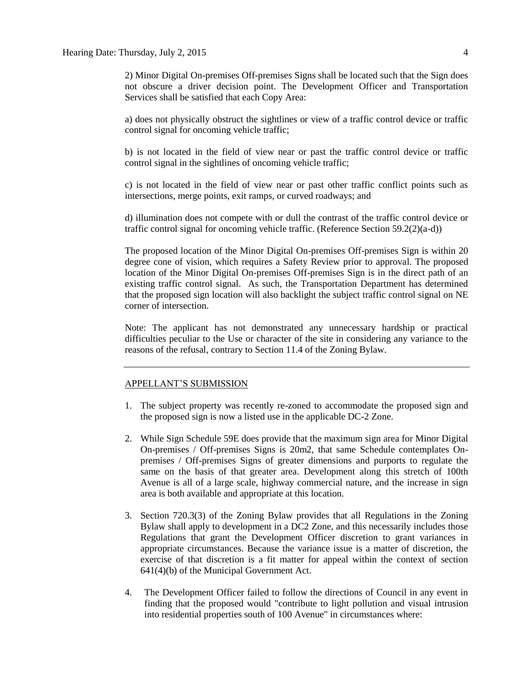2) Minor Digital On-premises Off-premises Signs shall be located such that the Sign does not obscure a driver decision point. The Development Officer and Transportation Services shall be satisfied that each Copy Area:

a) does not physically obstruct the sightlines or view of a traffic control device or traffic control signal for oncoming vehicle traffic;

b) is not located in the field of view near or past the traffic control device or traffic control signal in the sightlines of oncoming vehicle traffic;

c) is not located in the field of view near or past other traffic conflict points such as intersections, merge points, exit ramps, or curved roadways; and

d) illumination does not compete with or dull the contrast of the traffic control device or traffic control signal for oncoming vehicle traffic. (Reference Section 59.2(2)(a-d))

The proposed location of the Minor Digital On-premises Off-premises Sign is within 20 degree cone of vision, which requires a Safety Review prior to approval. The proposed location of the Minor Digital On-premises Off-premises Sign is in the direct path of an existing traffic control signal. As such, the Transportation Department has determined that the proposed sign location will also backlight the subject traffic control signal on NE corner of intersection.

Note: The applicant has not demonstrated any unnecessary hardship or practical difficulties peculiar to the Use or character of the site in considering any variance to the reasons of the refusal, contrary to Section 11.4 of the Zoning Bylaw.

#### APPELLANT'S SUBMISSION

- 1. The subject property was recently re-zoned to accommodate the proposed sign and the proposed sign is now a listed use in the applicable DC-2 Zone.
- 2. While Sign Schedule 59E does provide that the maximum sign area for Minor Digital On-premises / Off-premises Signs is 20m2, that same Schedule contemplates Onpremises / Off-premises Signs of greater dimensions and purports to regulate the same on the basis of that greater area. Development along this stretch of 100th Avenue is all of a large scale, highway commercial nature, and the increase in sign area is both available and appropriate at this location.
- 3. Section 720.3(3) of the Zoning Bylaw provides that all Regulations in the Zoning Bylaw shall apply to development in a DC2 Zone, and this necessarily includes those Regulations that grant the Development Officer discretion to grant variances in appropriate circumstances. Because the variance issue is a matter of discretion, the exercise of that discretion is a fit matter for appeal within the context of section 641(4)(b) of the Municipal Government Act.
- 4. The Development Officer failed to follow the directions of Council in any event in finding that the proposed would "contribute to light pollution and visual intrusion into residential properties south of 100 Avenue" in circumstances where: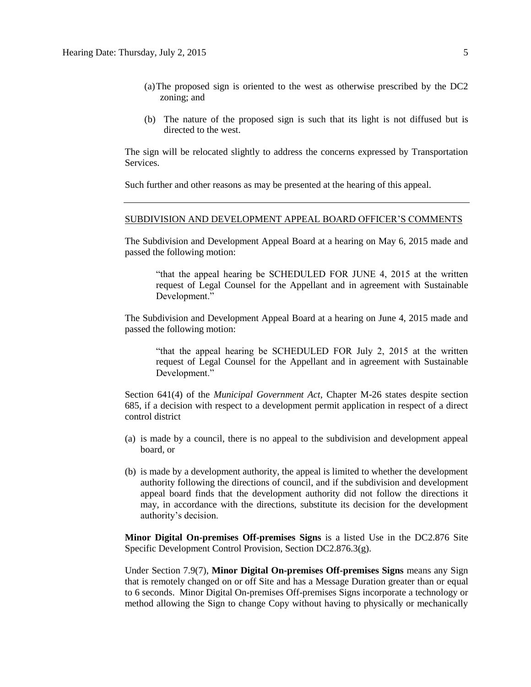- (a)The proposed sign is oriented to the west as otherwise prescribed by the DC2 zoning; and
- (b) The nature of the proposed sign is such that its light is not diffused but is directed to the west.

The sign will be relocated slightly to address the concerns expressed by Transportation Services.

Such further and other reasons as may be presented at the hearing of this appeal.

#### SUBDIVISION AND DEVELOPMENT APPEAL BOARD OFFICER'S COMMENTS

The Subdivision and Development Appeal Board at a hearing on May 6, 2015 made and passed the following motion:

"that the appeal hearing be SCHEDULED FOR JUNE 4, 2015 at the written request of Legal Counsel for the Appellant and in agreement with Sustainable Development."

The Subdivision and Development Appeal Board at a hearing on June 4, 2015 made and passed the following motion:

"that the appeal hearing be SCHEDULED FOR July 2, 2015 at the written request of Legal Counsel for the Appellant and in agreement with Sustainable Development."

Section 641(4) of the *Municipal Government Act*, Chapter M-26 states despite section 685, if a decision with respect to a development permit application in respect of a direct control district

- (a) is made by a council, there is no appeal to the subdivision and development appeal board, or
- (b) is made by a development authority, the appeal is limited to whether the development authority following the directions of council, and if the subdivision and development appeal board finds that the development authority did not follow the directions it may, in accordance with the directions, substitute its decision for the development authority's decision.

**Minor Digital On-premises Off-premises Signs** is a listed Use in the DC2.876 Site Specific Development Control Provision, Section DC2.876.3(g).

Under Section 7.9(7), **Minor Digital On-premises Off-premises Signs** means any Sign that is remotely changed on or off Site and has a Message Duration greater than or equal to 6 seconds. Minor Digital On-premises Off-premises Signs incorporate a technology or method allowing the Sign to change Copy without having to physically or mechanically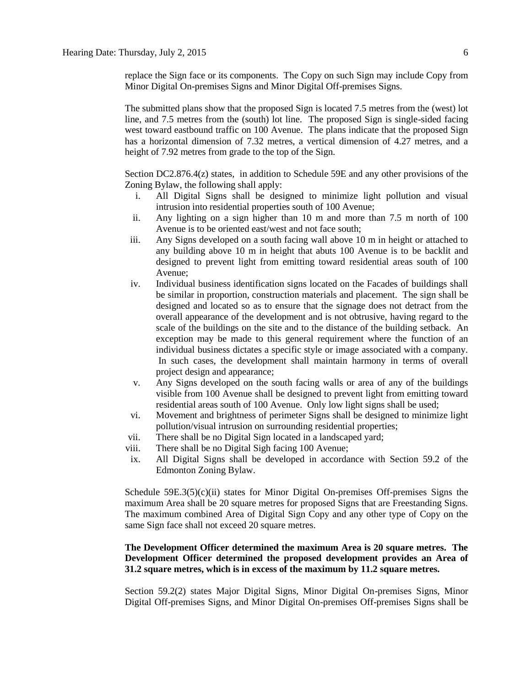replace the Sign face or its components. The Copy on such Sign may include Copy from Minor Digital On-premises Signs and Minor Digital Off-premises Signs.

The submitted plans show that the proposed Sign is located 7.5 metres from the (west) lot line, and 7.5 metres from the (south) lot line. The proposed Sign is single-sided facing west toward eastbound traffic on 100 Avenue. The plans indicate that the proposed Sign has a horizontal dimension of 7.32 metres, a vertical dimension of 4.27 metres, and a height of 7.92 metres from grade to the top of the Sign.

Section DC2.876.4(z) states, in addition to Schedule 59E and any other provisions of the Zoning Bylaw, the following shall apply:

- i. All Digital Signs shall be designed to minimize light pollution and visual intrusion into residential properties south of 100 Avenue;
- ii. Any lighting on a sign higher than 10 m and more than 7.5 m north of 100 Avenue is to be oriented east/west and not face south;
- iii. Any Signs developed on a south facing wall above 10 m in height or attached to any building above 10 m in height that abuts 100 Avenue is to be backlit and designed to prevent light from emitting toward residential areas south of 100 Avenue;
- iv. Individual business identification signs located on the Facades of buildings shall be similar in proportion, construction materials and placement. The sign shall be designed and located so as to ensure that the signage does not detract from the overall appearance of the development and is not obtrusive, having regard to the scale of the buildings on the site and to the distance of the building setback. An exception may be made to this general requirement where the function of an individual business dictates a specific style or image associated with a company. In such cases, the development shall maintain harmony in terms of overall project design and appearance;
- v. Any Signs developed on the south facing walls or area of any of the buildings visible from 100 Avenue shall be designed to prevent light from emitting toward residential areas south of 100 Avenue. Only low light signs shall be used;
- vi. Movement and brightness of perimeter Signs shall be designed to minimize light pollution/visual intrusion on surrounding residential properties;
- vii. There shall be no Digital Sign located in a landscaped yard;
- viii. There shall be no Digital Sigh facing 100 Avenue;
- ix. All Digital Signs shall be developed in accordance with Section 59.2 of the Edmonton Zoning Bylaw.

Schedule  $59E.3(5)(c)(ii)$  states for Minor Digital On-premises Off-premises Signs the maximum Area shall be 20 square metres for proposed Signs that are Freestanding Signs. The maximum combined Area of Digital Sign Copy and any other type of Copy on the same Sign face shall not exceed 20 square metres.

#### **The Development Officer determined the maximum Area is 20 square metres. The Development Officer determined the proposed development provides an Area of 31.2 square metres, which is in excess of the maximum by 11.2 square metres.**

Section 59.2(2) states Major Digital Signs, Minor Digital On-premises Signs, Minor Digital Off-premises Signs, and Minor Digital On-premises Off-premises Signs shall be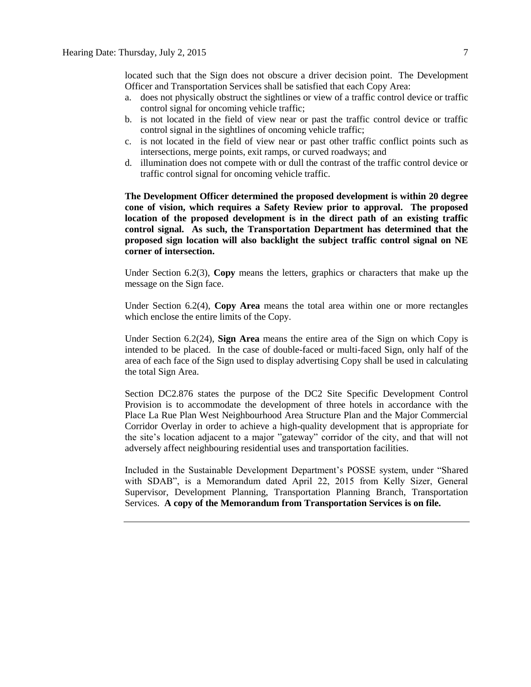located such that the Sign does not obscure a driver decision point. The Development Officer and Transportation Services shall be satisfied that each Copy Area:

- a. does not physically obstruct the sightlines or view of a traffic control device or traffic control signal for oncoming vehicle traffic;
- b. is not located in the field of view near or past the traffic control device or traffic control signal in the sightlines of oncoming vehicle traffic;
- c. is not located in the field of view near or past other traffic conflict points such as intersections, merge points, exit ramps, or curved roadways; and
- d. illumination does not compete with or dull the contrast of the traffic control device or traffic control signal for oncoming vehicle traffic.

**The Development Officer determined the proposed development is within 20 degree cone of vision, which requires a Safety Review prior to approval. The proposed location of the proposed development is in the direct path of an existing traffic control signal. As such, the Transportation Department has determined that the proposed sign location will also backlight the subject traffic control signal on NE corner of intersection.**

Under Section 6.2(3), **Copy** means the letters, graphics or characters that make up the message on the Sign face.

Under Section 6.2(4), **Copy Area** means the total area within one or more rectangles which enclose the entire limits of the Copy.

Under Section 6.2(24), **Sign Area** means the entire area of the Sign on which Copy is intended to be placed. In the case of double-faced or multi-faced Sign, only half of the area of each face of the Sign used to display advertising Copy shall be used in calculating the total Sign Area.

Section DC2.876 states the purpose of the DC2 Site Specific Development Control Provision is to accommodate the development of three hotels in accordance with the Place La Rue Plan West Neighbourhood Area Structure Plan and the Major Commercial Corridor Overlay in order to achieve a high-quality development that is appropriate for the site's location adjacent to a major "gateway" corridor of the city, and that will not adversely affect neighbouring residential uses and transportation facilities.

Included in the Sustainable Development Department's POSSE system, under "Shared with SDAB", is a Memorandum dated April 22, 2015 from Kelly Sizer, General Supervisor, Development Planning, Transportation Planning Branch, Transportation Services. **A copy of the Memorandum from Transportation Services is on file.**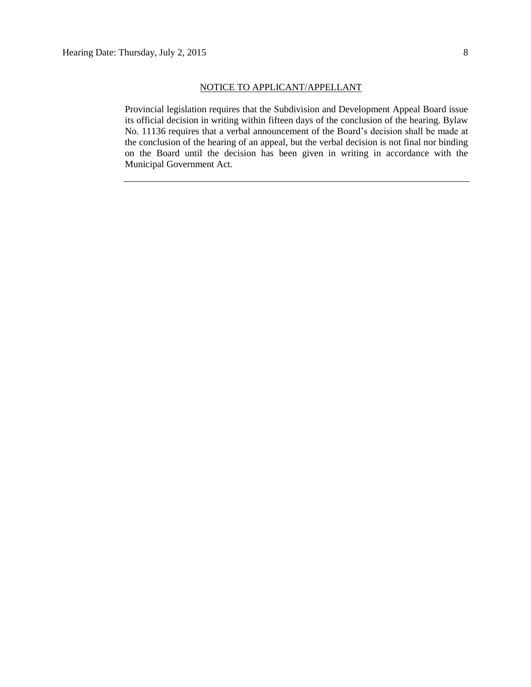Provincial legislation requires that the Subdivision and Development Appeal Board issue its official decision in writing within fifteen days of the conclusion of the hearing. Bylaw No. 11136 requires that a verbal announcement of the Board's decision shall be made at the conclusion of the hearing of an appeal, but the verbal decision is not final nor binding on the Board until the decision has been given in writing in accordance with the Municipal Government Act.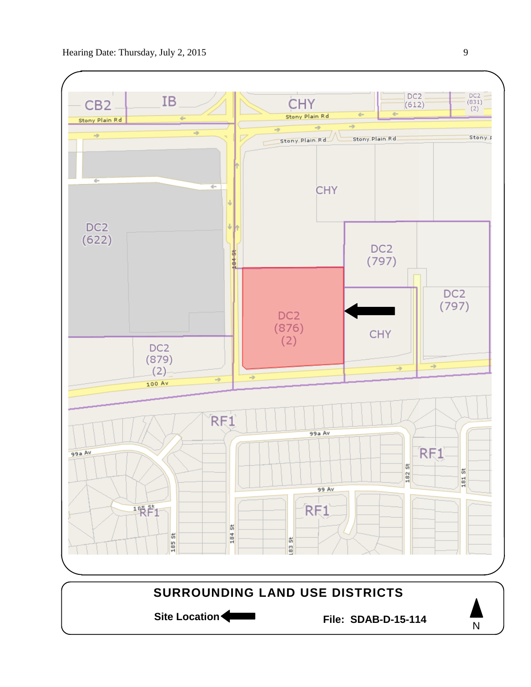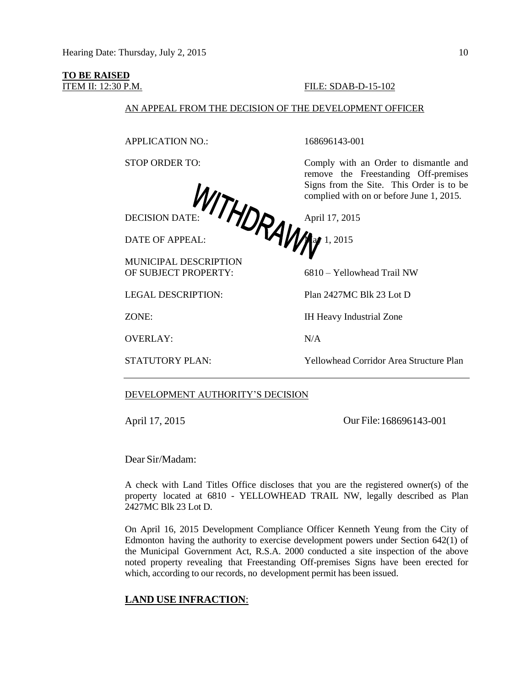# **TO BE RAISED**<br>**ITEM II: 12:30 P.M.**

#### FILE: SDAB-D-15-102

#### AN APPEAL FROM THE DECISION OF THE DEVELOPMENT OFFICER

APPLICATION NO.: 168696143-001

DECISION DATE:  $\left\{ \prod_{i=1}^{n} \right\}$  April 17, 2015 DATE OF APPEAL:  $\blacksquare$   $\blacksquare$   $\blacksquare$  1, 2015

MUNICIPAL DESCRIPTION

OF SUBJECT PROPERTY: 6810 – Yellowhead Trail NW

OVERLAY: N/A

STOP ORDER TO: Comply with an Order to dismantle and remove the Freestanding Off-premises Signs from the Site. This Order is to be complied with on or before June 1, 2015.

LEGAL DESCRIPTION: Plan 2427MC Blk 23 Lot D

ZONE: IH Heavy Industrial Zone

STATUTORY PLAN: Yellowhead Corridor Area Structure Plan

#### DEVELOPMENT AUTHORITY'S DECISION

April 17, 2015 **Our File:** 168696143-001

Dear Sir/Madam:

A check with Land Titles Office discloses that you are the registered owner(s) of the property located at 6810 - YELLOWHEAD TRAIL NW, legally described as Plan 2427MC Blk 23 Lot D.

On April 16, 2015 Development Compliance Officer Kenneth Yeung from the City of Edmonton having the authority to exercise development powers under Section 642(1) of the Municipal Government Act, R.S.A. 2000 conducted a site inspection of the above noted property revealing that Freestanding Off-premises Signs have been erected for which, according to our records, no development permit has been issued.

#### **LAND USE INFRACTION**: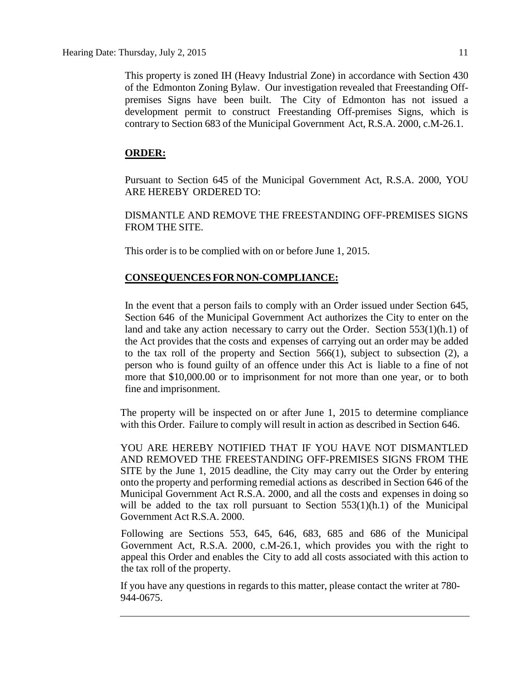This property is zoned IH (Heavy Industrial Zone) in accordance with Section 430 of the Edmonton Zoning Bylaw. Our investigation revealed that Freestanding Offpremises Signs have been built. The City of Edmonton has not issued a development permit to construct Freestanding Off-premises Signs, which is contrary to Section 683 of the Municipal Government Act, R.S.A. 2000, c.M-26.1.

#### **ORDER:**

Pursuant to Section 645 of the Municipal Government Act, R.S.A. 2000, YOU ARE HEREBY ORDERED TO:

DISMANTLE AND REMOVE THE FREESTANDING OFF-PREMISES SIGNS FROM THE SITE.

This order is to be complied with on or before June 1, 2015.

#### **CONSEQUENCES FOR NON-COMPLIANCE:**

In the event that a person fails to comply with an Order issued under Section 645, Section 646 of the Municipal Government Act authorizes the City to enter on the land and take any action necessary to carry out the Order. Section 553(1)(h.1) of the Act provides that the costs and expenses of carrying out an order may be added to the tax roll of the property and Section 566(1), subject to subsection (2), a person who is found guilty of an offence under this Act is liable to a fine of not more that \$10,000.00 or to imprisonment for not more than one year, or to both fine and imprisonment.

The property will be inspected on or after June 1, 2015 to determine compliance with this Order. Failure to comply will result in action as described in Section 646.

YOU ARE HEREBY NOTIFIED THAT IF YOU HAVE NOT DISMANTLED AND REMOVED THE FREESTANDING OFF-PREMISES SIGNS FROM THE SITE by the June 1, 2015 deadline, the City may carry out the Order by entering onto the property and performing remedial actions as described in Section 646 of the Municipal Government Act R.S.A. 2000, and all the costs and expenses in doing so will be added to the tax roll pursuant to Section 553(1)(h.1) of the Municipal Government Act R.S.A. 2000.

Following are Sections 553, 645, 646, 683, 685 and 686 of the Municipal Government Act, R.S.A. 2000, c.M-26.1, which provides you with the right to appeal this Order and enables the City to add all costs associated with this action to the tax roll of the property.

If you have any questions in regards to this matter, please contact the writer at 780- 944-0675.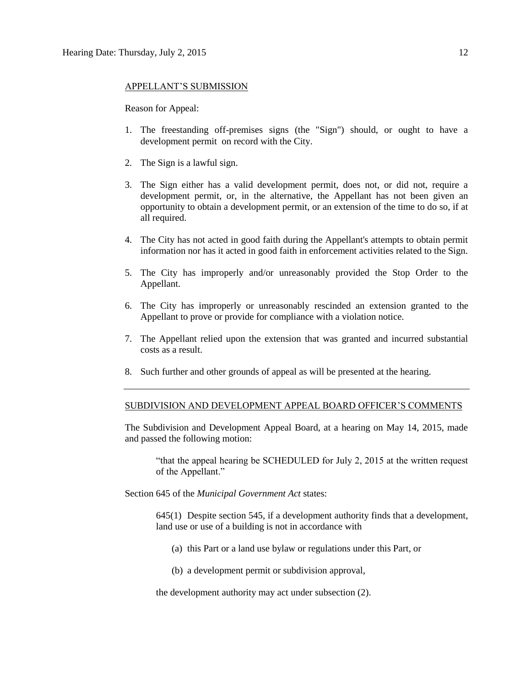#### APPELLANT'S SUBMISSION

Reason for Appeal:

- 1. The freestanding off-premises signs (the "Sign") should, or ought to have a development permit on record with the City.
- 2. The Sign is a lawful sign.
- 3. The Sign either has a valid development permit, does not, or did not, require a development permit, or, in the alternative, the Appellant has not been given an opportunity to obtain a development permit, or an extension of the time to do so, if at all required.
- 4. The City has not acted in good faith during the Appellant's attempts to obtain permit information nor has it acted in good faith in enforcement activities related to the Sign.
- 5. The City has improperly and/or unreasonably provided the Stop Order to the Appellant.
- 6. The City has improperly or unreasonably rescinded an extension granted to the Appellant to prove or provide for compliance with a violation notice.
- 7. The Appellant relied upon the extension that was granted and incurred substantial costs as a result.
- 8. Such further and other grounds of appeal as will be presented at the hearing.

#### SUBDIVISION AND DEVELOPMENT APPEAL BOARD OFFICER'S COMMENTS

The Subdivision and Development Appeal Board, at a hearing on May 14, 2015, made and passed the following motion:

"that the appeal hearing be SCHEDULED for July 2, 2015 at the written request of the Appellant."

Section 645 of the *Municipal Government Act* states:

645(1) Despite section 545, if a development authority finds that a development, land use or use of a building is not in accordance with

- (a) this Part or a land use bylaw or regulations under this Part, or
- (b) a development permit or subdivision approval,

the development authority may act under subsection (2).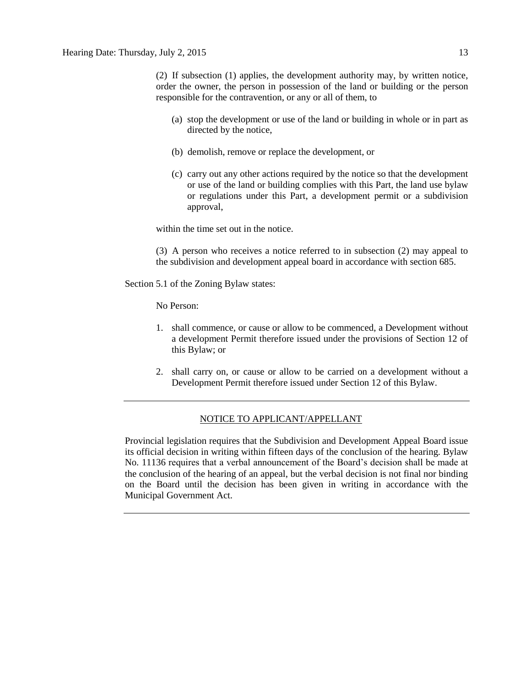(2) If subsection (1) applies, the development authority may, by written notice, order the owner, the person in possession of the land or building or the person responsible for the contravention, or any or all of them, to

- (a) stop the development or use of the land or building in whole or in part as directed by the notice,
- (b) demolish, remove or replace the development, or
- (c) carry out any other actions required by the notice so that the development or use of the land or building complies with this Part, the land use bylaw or regulations under this Part, a development permit or a subdivision approval,

within the time set out in the notice.

(3) A person who receives a notice referred to in subsection (2) may appeal to the subdivision and development appeal board in accordance with section 685.

Section 5.1 of the Zoning Bylaw states:

No Person:

- 1. shall commence, or cause or allow to be commenced, a Development without a development Permit therefore issued under the provisions of Section 12 of this Bylaw; or
- 2. shall carry on, or cause or allow to be carried on a development without a Development Permit therefore issued under Section 12 of this Bylaw.

#### NOTICE TO APPLICANT/APPELLANT

Provincial legislation requires that the Subdivision and Development Appeal Board issue its official decision in writing within fifteen days of the conclusion of the hearing. Bylaw No. 11136 requires that a verbal announcement of the Board's decision shall be made at the conclusion of the hearing of an appeal, but the verbal decision is not final nor binding on the Board until the decision has been given in writing in accordance with the Municipal Government Act.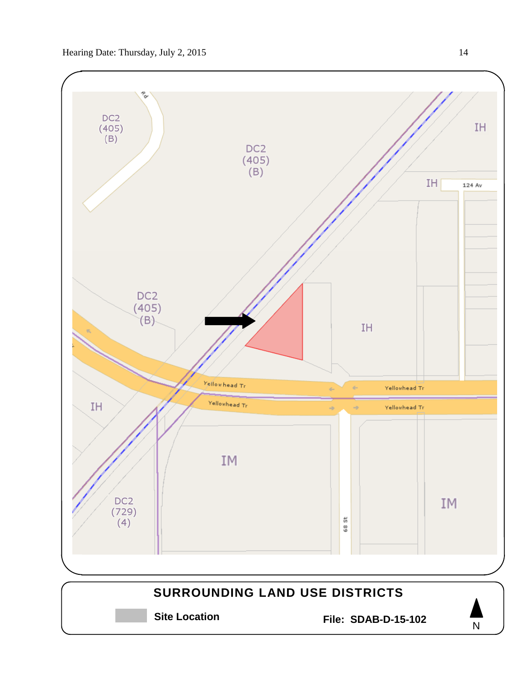